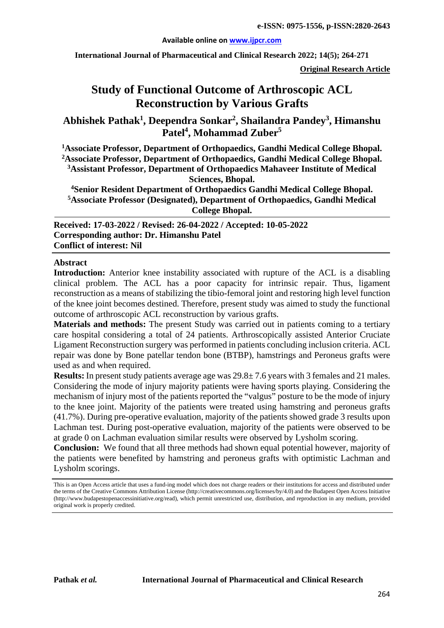#### **Available online on [www.ijpcr.com](http://www.ijpcr.com/)**

**International Journal of Pharmaceutical and Clinical Research 2022; 14(5); 264-271**

**Original Research Article**

# **Study of Functional Outcome of Arthroscopic ACL Reconstruction by Various Grafts**

**Abhishek Pathak1 , Deependra Sonkar2 , Shailandra Pandey<sup>3</sup> , Himanshu Patel<sup>4</sup> , Mohammad Zuber5**

**1 Associate Professor, Department of Orthopaedics, Gandhi Medical College Bhopal.**

**2 Associate Professor, Department of Orthopaedics, Gandhi Medical College Bhopal. 3 Assistant Professor, Department of Orthopaedics Mahaveer Institute of Medical** 

**Sciences, Bhopal.**

**4 Senior Resident Department of Orthopaedics Gandhi Medical College Bhopal. 5 Associate Professor (Designated), Department of Orthopaedics, Gandhi Medical College Bhopal.**

**Received: 17-03-2022 / Revised: 26-04-2022 / Accepted: 10-05-2022 Corresponding author: Dr. Himanshu Patel Conflict of interest: Nil**

#### **Abstract**

**Introduction:** Anterior knee instability associated with rupture of the ACL is a disabling clinical problem. The ACL has a poor capacity for intrinsic repair. Thus, ligament reconstruction as a means of stabilizing the tibio-femoral joint and restoring high level function of the knee joint becomes destined. Therefore, present study was aimed to study the functional outcome of arthroscopic ACL reconstruction by various grafts.

**Materials and methods:** The present Study was carried out in patients coming to a tertiary care hospital considering a total of 24 patients. Arthroscopically assisted Anterior Cruciate Ligament Reconstruction surgery was performed in patients concluding inclusion criteria. ACL repair was done by Bone patellar tendon bone (BTBP), hamstrings and Peroneus grafts were used as and when required.

**Results:** In present study patients average age was 29.8± 7.6 years with 3 females and 21 males. Considering the mode of injury majority patients were having sports playing. Considering the mechanism of injury most of the patients reported the "valgus" posture to be the mode of injury to the knee joint. Majority of the patients were treated using hamstring and peroneus grafts (41.7%). During pre-operative evaluation, majority of the patients showed grade 3 results upon Lachman test. During post-operative evaluation, majority of the patients were observed to be at grade 0 on Lachman evaluation similar results were observed by Lysholm scoring.

**Conclusion:** We found that all three methods had shown equal potential however, majority of the patients were benefited by hamstring and peroneus grafts with optimistic Lachman and Lysholm scorings.

This is an Open Access article that uses a fund-ing model which does not charge readers or their institutions for access and distributed under the terms of the Creative Commons Attribution License (http://creativecommons.org/licenses/by/4.0) and the Budapest Open Access Initiative (http://www.budapestopenaccessinitiative.org/read), which permit unrestricted use, distribution, and reproduction in any medium, provided original work is properly credited.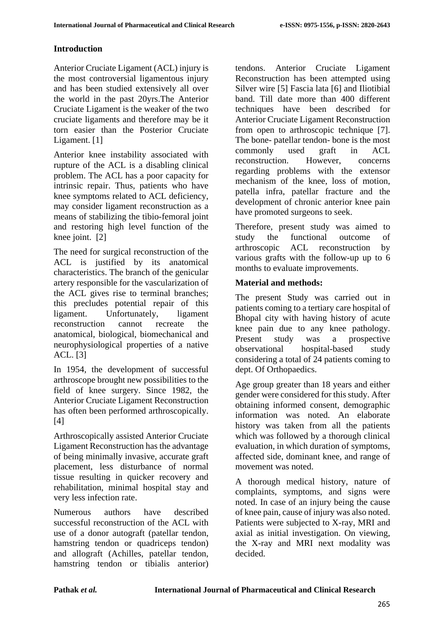# **Introduction**

Anterior Cruciate Ligament (ACL) injury is the most controversial ligamentous injury and has been studied extensively all over the world in the past 20yrs.The Anterior Cruciate Ligament is the weaker of the two cruciate ligaments and therefore may be it torn easier than the Posterior Cruciate Ligament. [1]

Anterior knee instability associated with rupture of the ACL is a disabling clinical problem. The ACL has a poor capacity for intrinsic repair. Thus, patients who have knee symptoms related to ACL deficiency, may consider ligament reconstruction as a means of stabilizing the tibio-femoral joint and restoring high level function of the knee joint. [2]

The need for surgical reconstruction of the ACL is justified by its anatomical characteristics. The branch of the genicular artery responsible for the vascularization of the ACL gives rise to terminal branches; this precludes potential repair of this ligament. Unfortunately, ligament reconstruction cannot recreate the anatomical, biological, biomechanical and neurophysiological properties of a native ACL. [3]

In 1954, the development of successful arthroscope brought new possibilities to the field of knee surgery. Since 1982, the Anterior Cruciate Ligament Reconstruction has often been performed arthroscopically. [4]

Arthroscopically assisted Anterior Cruciate Ligament Reconstruction has the advantage of being minimally invasive, accurate graft placement, less disturbance of normal tissue resulting in quicker recovery and rehabilitation, minimal hospital stay and very less infection rate.

Numerous authors have described successful reconstruction of the ACL with use of a donor autograft (patellar tendon, hamstring tendon or quadriceps tendon) and allograft (Achilles, patellar tendon, hamstring tendon or tibialis anterior) tendons. Anterior Cruciate Ligament Reconstruction has been attempted using Silver wire [5] Fascia lata [6] and Iliotibial band. Till date more than 400 different techniques have been described for Anterior Cruciate Ligament Reconstruction from open to arthroscopic technique [7]. The bone- patellar tendon- bone is the most commonly used graft in ACL reconstruction. However, concerns regarding problems with the extensor mechanism of the knee, loss of motion, patella infra, patellar fracture and the development of chronic anterior knee pain have promoted surgeons to seek.

Therefore, present study was aimed to study the functional outcome of arthroscopic ACL reconstruction by various grafts with the follow-up up to 6 months to evaluate improvements.

# **Material and methods:**

The present Study was carried out in patients coming to a tertiary care hospital of Bhopal city with having history of acute knee pain due to any knee pathology. Present study was a prospective observational hospital-based study considering a total of 24 patients coming to dept. Of Orthopaedics.

Age group greater than 18 years and either gender were considered for this study. After obtaining informed consent, demographic information was noted. An elaborate history was taken from all the patients which was followed by a thorough clinical evaluation, in which duration of symptoms, affected side, dominant knee, and range of movement was noted.

A thorough medical history, nature of complaints, symptoms, and signs were noted. In case of an injury being the cause of knee pain, cause of injury was also noted. Patients were subjected to X-ray, MRI and axial as initial investigation. On viewing, the X-ray and MRI next modality was decided.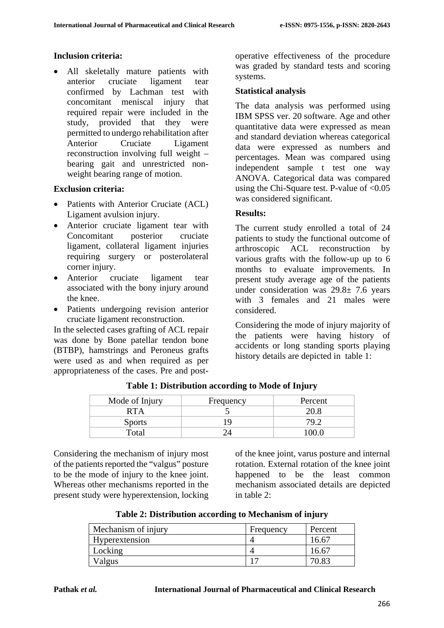# **Inclusion criteria:**

• All skeletally mature patients with anterior cruciate ligament tear confirmed by Lachman test with concomitant meniscal injury that required repair were included in the study, provided that they were permitted to undergo rehabilitation after Anterior Cruciate Ligament reconstruction involving full weight – bearing gait and unrestricted nonweight bearing range of motion.

### **Exclusion criteria:**

- Patients with Anterior Cruciate (ACL) Ligament avulsion injury.
- Anterior cruciate ligament tear with Concomitant posterior cruciate ligament, collateral ligament injuries requiring surgery or posterolateral corner injury.
- Anterior cruciate ligament tear associated with the bony injury around the knee.
- Patients undergoing revision anterior cruciate ligament reconstruction.

In the selected cases grafting of ACL repair was done by Bone patellar tendon bone (BTBP), hamstrings and Peroneus grafts were used as and when required as per appropriateness of the cases. Pre and postoperative effectiveness of the procedure was graded by standard tests and scoring systems.

#### **Statistical analysis**

The data analysis was performed using IBM SPSS ver. 20 software. Age and other quantitative data were expressed as mean and standard deviation whereas categorical data were expressed as numbers and percentages. Mean was compared using independent sample t test one way ANOVA. Categorical data was compared using the Chi-Square test. P-value of  $< 0.05$ was considered significant.

### **Results:**

The current study enrolled a total of 24 patients to study the functional outcome of arthroscopic ACL reconstruction by various grafts with the follow-up up to 6 months to evaluate improvements. In present study average age of the patients under consideration was  $29.8 \pm 7.6$  years with 3 females and 21 males were considered.

Considering the mode of injury majority of the patients were having history of accidents or long standing sports playing history details are depicted in table 1:

| Mode of Injury | Frequency | Percent  |
|----------------|-----------|----------|
| RTA            |           |          |
| <b>Sports</b>  |           |          |
| Total          |           | ' 1( ) - |

**Table 1: Distribution according to Mode of Injury**

Considering the mechanism of injury most of the patients reported the "valgus" posture to be the mode of injury to the knee joint. Whereas other mechanisms reported in the present study were hyperextension, locking of the knee joint, varus posture and internal rotation. External rotation of the knee joint happened to be the least common mechanism associated details are depicted in table 2:

| Table 2: Distribution according to Mechanism of injury |  |  |  |
|--------------------------------------------------------|--|--|--|
|--------------------------------------------------------|--|--|--|

| Mechanism of injury | Frequency | Percent |
|---------------------|-----------|---------|
| Hyperextension      |           | 16.67   |
| Locking             |           | 16.67   |
| /algus              |           |         |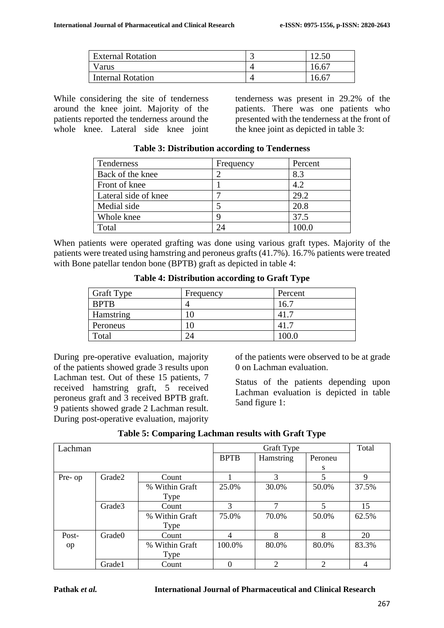| <b>External Rotation</b> | ັ | 12.50 |
|--------------------------|---|-------|
| Varus                    |   | 16.67 |
| <b>Internal Rotation</b> |   | 16.67 |

While considering the site of tenderness around the knee joint. Majority of the patients reported the tenderness around the whole knee. Lateral side knee joint tenderness was present in 29.2% of the patients. There was one patients who presented with the tenderness at the front of the knee joint as depicted in table 3:

| Tenderness           | Frequency | Percent |
|----------------------|-----------|---------|
| Back of the knee     | ◠         | 8.3     |
| Front of knee        |           | 4.2     |
| Lateral side of knee |           | 29.2    |
| Medial side          |           | 20.8    |
| Whole knee           | q         | 37.5    |
| Total                |           |         |

**Table 3: Distribution according to Tenderness**

When patients were operated grafting was done using various graft types. Majority of the patients were treated using hamstring and peroneus grafts (41.7%). 16.7% patients were treated with Bone patellar tendon bone (BPTB) graft as depicted in table 4:

|  | Table 4: Distribution according to Graft Type |  |  |
|--|-----------------------------------------------|--|--|
|--|-----------------------------------------------|--|--|

| <b>Graft Type</b> | Frequency | Percent |
|-------------------|-----------|---------|
| <b>BPTB</b>       |           | 16.1    |
| Hamstring         |           | 41.     |
| Peroneus          |           | 41.7    |
| Total             |           | 100.0   |

During pre-operative evaluation, majority of the patients showed grade 3 results upon Lachman test. Out of these 15 patients, 7 received hamstring graft, 5 received peroneus graft and 3 received BPTB graft. 9 patients showed grade 2 Lachman result. During post-operative evaluation, majority

of the patients were observed to be at grade 0 on Lachman evaluation.

Status of the patients depending upon Lachman evaluation is depicted in table 5and figure 1:

| Lachman |                    |                | Graft Type  |                |         | Total       |
|---------|--------------------|----------------|-------------|----------------|---------|-------------|
|         |                    |                | <b>BPTB</b> | Hamstring      | Peroneu |             |
|         |                    |                |             |                | S       |             |
| Pre- op | Grade2             | Count          |             | 3              | 5       | $\mathbf Q$ |
|         |                    | % Within Graft | 25.0%       | 30.0%          | 50.0%   | 37.5%       |
|         |                    | Type           |             |                |         |             |
|         | Grade3             | Count          | 3           | 7              | 5       | 15          |
|         |                    | % Within Graft | 75.0%       | 70.0%          | 50.0%   | 62.5%       |
|         |                    | Type           |             |                |         |             |
| Post-   | Grade <sub>0</sub> | Count          |             | 8              | 8       | 20          |
| op      |                    | % Within Graft | 100.0%      | 80.0%          | 80.0%   | 83.3%       |
|         |                    | Type           |             |                |         |             |
|         | Grade1             | Count          | 0           | $\overline{c}$ | 2       | 4           |

#### **Table 5: Comparing Lachman results with Graft Type**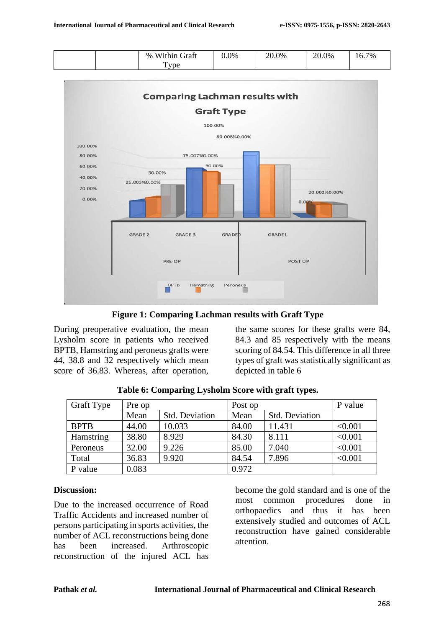



**Figure 1: Comparing Lachman results with Graft Type**

During preoperative evaluation, the mean Lysholm score in patients who received BPTB, Hamstring and peroneus grafts were 44, 38.8 and 32 respectively which mean score of 36.83. Whereas, after operation,

the same scores for these grafts were 84, 84.3 and 85 respectively with the means scoring of 84.54. This difference in all three types of graft was statistically significant as depicted in table 6

| <b>Graft Type</b> | Pre op |                       | Post op |                       | P value |
|-------------------|--------|-----------------------|---------|-----------------------|---------|
|                   | Mean   | <b>Std. Deviation</b> | Mean    | <b>Std. Deviation</b> |         |
| <b>BPTB</b>       | 44.00  | 10.033                | 84.00   | 11.431                | < 0.001 |
| Hamstring         | 38.80  | 8.929                 | 84.30   | 8.111                 | < 0.001 |
| Peroneus          | 32.00  | 9.226                 | 85.00   | 7.040                 | < 0.001 |
| Total             | 36.83  | 9.920                 | 84.54   | 7.896                 | < 0.001 |
| P value           | 0.083  |                       | 0.972   |                       |         |

**Table 6: Comparing Lysholm Score with graft types.**

#### **Discussion:**

Due to the increased occurrence of Road Traffic Accidents and increased number of persons participating in sports activities, the number of ACL reconstructions being done has been increased. Arthroscopic reconstruction of the injured ACL has

become the gold standard and is one of the most common procedures done in orthopaedics and thus it has been extensively studied and outcomes of ACL reconstruction have gained considerable attention.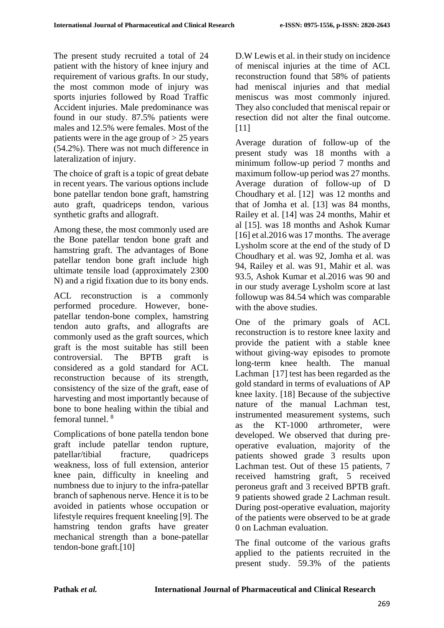The present study recruited a total of 24 patient with the history of knee injury and requirement of various grafts. In our study, the most common mode of injury was sports injuries followed by Road Traffic Accident injuries. Male predominance was found in our study. 87.5% patients were males and 12.5% were females. Most of the patients were in the age group of  $> 25$  years (54.2%). There was not much difference in lateralization of injury.

The choice of graft is a topic of great debate in recent years. The various options include bone patellar tendon bone graft, hamstring auto graft, quadriceps tendon, various synthetic grafts and allograft.

Among these, the most commonly used are the Bone patellar tendon bone graft and hamstring graft. The advantages of Bone patellar tendon bone graft include high ultimate tensile load (approximately 2300 N) and a rigid fixation due to its bony ends.

ACL reconstruction is a commonly performed procedure. However, bonepatellar tendon-bone complex, hamstring tendon auto grafts, and allografts are commonly used as the graft sources, which graft is the most suitable has still been controversial. The BPTB graft is considered as a gold standard for ACL reconstruction because of its strength, consistency of the size of the graft, ease of harvesting and most importantly because of bone to bone healing within the tibial and femoral tunnel. 8

Complications of bone patella tendon bone graft include patellar tendon rupture, patellar/tibial fracture, quadriceps weakness, loss of full extension, anterior knee pain, difficulty in kneeling and numbness due to injury to the infra-patellar branch of saphenous nerve. Hence it is to be avoided in patients whose occupation or lifestyle requires frequent kneeling [9]. The hamstring tendon grafts have greater mechanical strength than a bone-patellar tendon-bone graft.[10]

D.W Lewis et al. in their study on incidence of meniscal injuries at the time of ACL reconstruction found that 58% of patients had meniscal injuries and that medial meniscus was most commonly injured. They also concluded that meniscal repair or resection did not alter the final outcome. [11]

Average duration of follow-up of the present study was 18 months with a minimum follow-up period 7 months and maximum follow-up period was 27 months. Average duration of follow-up of D Choudhary et al. [12] was 12 months and that of Jomha et al. [13] was 84 months, Railey et al. [14] was 24 months, Mahir et al [15]. was 18 months and Ashok Kumar [16] et al. 2016 was 17 months. The average Lysholm score at the end of the study of D Choudhary et al. was 92, Jomha et al. was 94, Railey et al. was 91, Mahir et al. was 93.5, Ashok Kumar et al.2016 was 90 and in our study average Lysholm score at last followup was 84.54 which was comparable with the above studies.

One of the primary goals of ACL reconstruction is to restore knee laxity and provide the patient with a stable knee without giving-way episodes to promote long-term knee health. The manual Lachman [17] test has been regarded as the gold standard in terms of evaluations of AP knee laxity. [18] Because of the subjective nature of the manual Lachman test, instrumented measurement systems, such as the KT-1000 arthrometer, were developed. We observed that during preoperative evaluation, majority of the patients showed grade 3 results upon Lachman test. Out of these 15 patients, 7 received hamstring graft, 5 received peroneus graft and 3 received BPTB graft. 9 patients showed grade 2 Lachman result. During post-operative evaluation, majority of the patients were observed to be at grade 0 on Lachman evaluation.

The final outcome of the various grafts applied to the patients recruited in the present study. 59.3% of the patients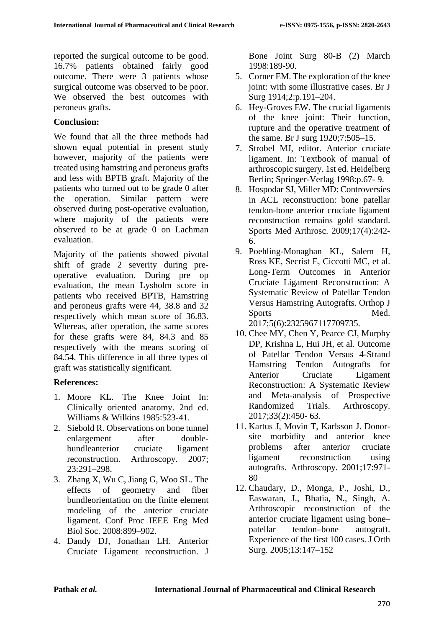reported the surgical outcome to be good. 16.7% patients obtained fairly good outcome. There were 3 patients whose surgical outcome was observed to be poor. We observed the best outcomes with peroneus grafts.

# **Conclusion:**

We found that all the three methods had shown equal potential in present study however, majority of the patients were treated using hamstring and peroneus grafts and less with BPTB graft. Majority of the patients who turned out to be grade 0 after the operation. Similar pattern were observed during post-operative evaluation, where majority of the patients were observed to be at grade 0 on Lachman evaluation.

Majority of the patients showed pivotal shift of grade 2 severity during preoperative evaluation. During pre op evaluation, the mean Lysholm score in patients who received BPTB, Hamstring and peroneus grafts were 44, 38.8 and 32 respectively which mean score of 36.83. Whereas, after operation, the same scores for these grafts were 84, 84.3 and 85 respectively with the means scoring of 84.54. This difference in all three types of graft was statistically significant.

### **References:**

- 1. Moore KL. The Knee Joint In: Clinically oriented anatomy. 2nd ed. Williams & Wilkins 1985:523-41.
- 2. Siebold R. Observations on bone tunnel enlargement after doublebundleanterior cruciate ligament reconstruction. Arthroscopy. 2007; 23:291–298.
- 3. Zhang X, Wu C, Jiang G, Woo SL. The effects of geometry and fiber bundleorientation on the finite element modeling of the anterior cruciate ligament. Conf Proc IEEE Eng Med Biol Soc. 2008:899–902.
- 4. Dandy DJ, Jonathan LH. Anterior Cruciate Ligament reconstruction. J

Bone Joint Surg 80-B (2) March 1998:189-90.

- 5. Corner EM. The exploration of the knee joint: with some illustrative cases. Br J Surg 1914;2:p.191–204.
- 6. Hey-Groves EW. The crucial ligaments of the knee joint: Their function, rupture and the operative treatment of the same. Br J surg 1920;7:505–15.
- 7. Strobel MJ, editor. Anterior cruciate ligament. In: Textbook of manual of arthroscopic surgery. 1st ed. Heidelberg Berlin; Springer-Verlag 1998:p.67- 9.
- 8. Hospodar SJ, Miller MD: Controversies in ACL reconstruction: bone patellar tendon-bone anterior cruciate ligament reconstruction remains gold standard. Sports Med Arthrosc. 2009;17(4):242- 6.
- 9. Poehling-Monaghan KL, Salem H, Ross KE, Secrist E, Ciccotti MC, et al. Long-Term Outcomes in Anterior Cruciate Ligament Reconstruction: A Systematic Review of Patellar Tendon Versus Hamstring Autografts. Orthop J Sports Med. 2017;5(6):2325967117709735.

10. Chee MY, Chen Y, Pearce CJ, Murphy

- DP, Krishna L, Hui JH, et al. Outcome of Patellar Tendon Versus 4-Strand Hamstring Tendon Autografts for Anterior Cruciate Ligament Reconstruction: A Systematic Review and Meta-analysis of Prospective Randomized Trials. Arthroscopy. 2017;33(2):450- 63.
- 11. Kartus J, Movin T, Karlsson J. Donorsite morbidity and anterior knee problems after anterior cruciate ligament reconstruction using autografts. Arthroscopy. 2001;17:971- 80
- 12. Chaudary, D., Monga, P., Joshi, D., Easwaran, J., Bhatia, N., Singh, A. Arthroscopic reconstruction of the anterior cruciate ligament using bone– patellar tendon–bone autograft. Experience of the first 100 cases. J Orth Surg. 2005;13:147–152